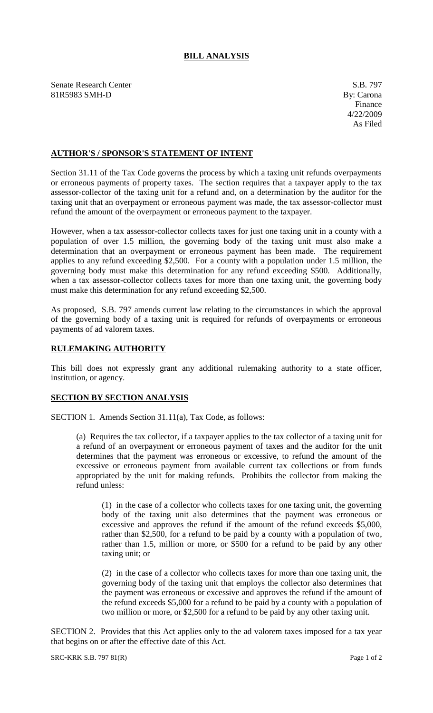## **BILL ANALYSIS**

Senate Research Center S.B. 797 81R5983 SMH-D By: Carona

## **AUTHOR'S / SPONSOR'S STATEMENT OF INTENT**

Section 31.11 of the Tax Code governs the process by which a taxing unit refunds overpayments or erroneous payments of property taxes. The section requires that a taxpayer apply to the tax assessor-collector of the taxing unit for a refund and, on a determination by the auditor for the taxing unit that an overpayment or erroneous payment was made, the tax assessor-collector must refund the amount of the overpayment or erroneous payment to the taxpayer.

However, when a tax assessor-collector collects taxes for just one taxing unit in a county with a population of over 1.5 million, the governing body of the taxing unit must also make a determination that an overpayment or erroneous payment has been made. The requirement applies to any refund exceeding \$2,500. For a county with a population under 1.5 million, the governing body must make this determination for any refund exceeding \$500. Additionally, when a tax assessor-collector collects taxes for more than one taxing unit, the governing body must make this determination for any refund exceeding \$2,500.

As proposed, S.B. 797 amends current law relating to the circumstances in which the approval of the governing body of a taxing unit is required for refunds of overpayments or erroneous payments of ad valorem taxes.

## **RULEMAKING AUTHORITY**

This bill does not expressly grant any additional rulemaking authority to a state officer, institution, or agency.

## **SECTION BY SECTION ANALYSIS**

SECTION 1. Amends Section 31.11(a), Tax Code, as follows:

(a) Requires the tax collector, if a taxpayer applies to the tax collector of a taxing unit for a refund of an overpayment or erroneous payment of taxes and the auditor for the unit determines that the payment was erroneous or excessive, to refund the amount of the excessive or erroneous payment from available current tax collections or from funds appropriated by the unit for making refunds. Prohibits the collector from making the refund unless:

(1) in the case of a collector who collects taxes for one taxing unit, the governing body of the taxing unit also determines that the payment was erroneous or excessive and approves the refund if the amount of the refund exceeds \$5,000, rather than \$2,500, for a refund to be paid by a county with a population of two, rather than 1.5, million or more, or \$500 for a refund to be paid by any other taxing unit; or

(2) in the case of a collector who collects taxes for more than one taxing unit, the governing body of the taxing unit that employs the collector also determines that the payment was erroneous or excessive and approves the refund if the amount of the refund exceeds \$5,000 for a refund to be paid by a county with a population of two million or more, or \$2,500 for a refund to be paid by any other taxing unit.

SECTION 2. Provides that this Act applies only to the ad valorem taxes imposed for a tax year that begins on or after the effective date of this Act.